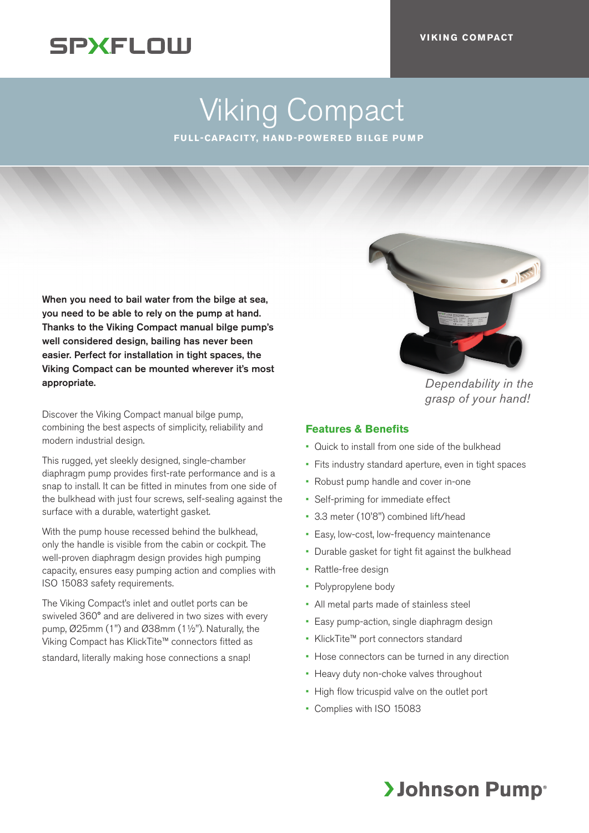## **SPXFLOW**

# Viking Compact

**FULL-CAPACITY, HAND-POWERED BILGE PUMP** 

When you need to bail water from the bilge at sea, you need to be able to rely on the pump at hand. Thanks to the Viking Compact manual bilge pump's well considered design, bailing has never been easier. Perfect for installation in tight spaces, the Viking Compact can be mounted wherever it's most appropriate.

Discover the Viking Compact manual bilge pump, combining the best aspects of simplicity, reliability and modern industrial design.

This rugged, yet sleekly designed, single-chamber diaphragm pump provides first-rate performance and is a snap to install. It can be fitted in minutes from one side of the bulkhead with just four screws, self-sealing against the surface with a durable, watertight gasket.

With the pump house recessed behind the bulkhead, only the handle is visible from the cabin or cockpit. The well-proven diaphragm design provides high pumping capacity, ensures easy pumping action and complies with ISO 15083 safety requirements.

The Viking Compact's inlet and outlet ports can be swiveled 360° and are delivered in two sizes with every pump, Ø25mm (1") and Ø38mm (1½"). Naturally, the Viking Compact has KlickTite™ connectors fitted as standard, literally making hose connections a snap!



*Dependability in the grasp of your hand!*

#### **Features & Benefits**

- Quick to install from one side of the bulkhead
- Fits industry standard aperture, even in tight spaces
- Robust pump handle and cover in-one
- Self-priming for immediate effect
- 3.3 meter (10'8") combined lift/head
- Easy, low-cost, low-frequency maintenance
- Durable gasket for tight fit against the bulkhead
- Rattle-free design
- Polypropylene body
- All metal parts made of stainless steel
- Easy pump-action, single diaphragm design
- KlickTite™ port connectors standard
- Hose connectors can be turned in any direction
- Heavy duty non-choke valves throughout
- High flow tricuspid valve on the outlet port
- Complies with ISO 15083

### **>Johnson Pump**®